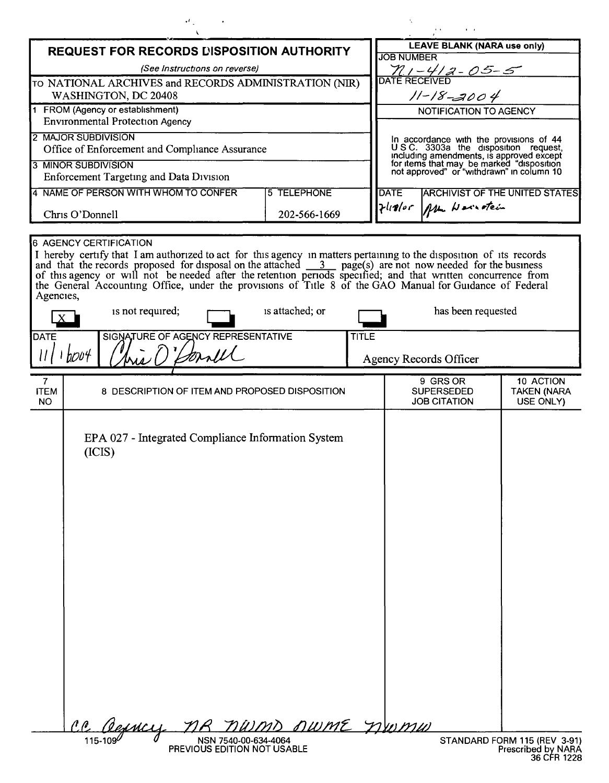| vf.                                                                                                                                                                                                                                                                                                                                                                                                                                                                                                                                                                                                                                                          |                |  |                                                                                                                                                                                                                        |  |                                 |
|--------------------------------------------------------------------------------------------------------------------------------------------------------------------------------------------------------------------------------------------------------------------------------------------------------------------------------------------------------------------------------------------------------------------------------------------------------------------------------------------------------------------------------------------------------------------------------------------------------------------------------------------------------------|----------------|--|------------------------------------------------------------------------------------------------------------------------------------------------------------------------------------------------------------------------|--|---------------------------------|
| <b>REQUEST FOR RECORDS DISPOSITION AUTHORITY</b>                                                                                                                                                                                                                                                                                                                                                                                                                                                                                                                                                                                                             |                |  | <b>LEAVE BLANK (NARA use only)</b><br><b>JOB NUMBER</b>                                                                                                                                                                |  |                                 |
| (See Instructions on reverse)                                                                                                                                                                                                                                                                                                                                                                                                                                                                                                                                                                                                                                |                |  | $711 - 412 - 05 - 5$                                                                                                                                                                                                   |  |                                 |
| TO NATIONAL ARCHIVES and RECORDS ADMINISTRATION (NIR)<br>WASHINGTON, DC 20408                                                                                                                                                                                                                                                                                                                                                                                                                                                                                                                                                                                |                |  | $11 - 18 - 2004$                                                                                                                                                                                                       |  |                                 |
| 1 FROM (Agency or establishment)                                                                                                                                                                                                                                                                                                                                                                                                                                                                                                                                                                                                                             |                |  | NOTIFICATION TO AGENCY                                                                                                                                                                                                 |  |                                 |
| <b>Environmental Protection Agency</b>                                                                                                                                                                                                                                                                                                                                                                                                                                                                                                                                                                                                                       |                |  |                                                                                                                                                                                                                        |  |                                 |
| 2 MAJOR SUBDIVISION<br>Office of Enforcement and Compliance Assurance                                                                                                                                                                                                                                                                                                                                                                                                                                                                                                                                                                                        |                |  | In accordance with the provisions of 44<br>U.S.C. 3303a the disposition request,<br>including amendments, is approved except<br>for items that may be marked "disposition<br>not approved" or "withdrawn" in column 10 |  |                                 |
| 3 MINOR SUBDIVISION                                                                                                                                                                                                                                                                                                                                                                                                                                                                                                                                                                                                                                          |                |  |                                                                                                                                                                                                                        |  |                                 |
| Enforcement Targeting and Data Division<br>4 NAME OF PERSON WITH WHOM TO CONFER<br><b>5 TELEPHONE</b>                                                                                                                                                                                                                                                                                                                                                                                                                                                                                                                                                        |                |  | <b>ARCHIVIST OF THE UNITED STATES</b><br><b>DATE</b>                                                                                                                                                                   |  |                                 |
|                                                                                                                                                                                                                                                                                                                                                                                                                                                                                                                                                                                                                                                              | 202-566-1669   |  | Flistor Mu Hairotein                                                                                                                                                                                                   |  |                                 |
| Chris O'Donnell                                                                                                                                                                                                                                                                                                                                                                                                                                                                                                                                                                                                                                              |                |  |                                                                                                                                                                                                                        |  |                                 |
| I hereby certify that I am authorized to act for this agency in matters pertaining to the disposition of its records<br>and that the records proposed for disposal on the attached $\frac{3}{2}$ page(s) are not now needed for the business<br>of this agency or will not be needed after the retention periods specified; and that written concurrence from<br>the General Accounting Office, under the provisions of Title 8 of the GAO Manual for Guidance of Federal<br>Agencies,<br>is attached; or<br>is not required;<br>has been requested<br>SIGNATURE OF AGENCY REPRESENTATIVE<br><b>DATE</b><br><b>TITLE</b><br>1 b004<br>Agency Records Officer |                |  |                                                                                                                                                                                                                        |  |                                 |
| $\mathbf{7}$                                                                                                                                                                                                                                                                                                                                                                                                                                                                                                                                                                                                                                                 |                |  | 9 GRS OR                                                                                                                                                                                                               |  | 10 ACTION                       |
| <b>ITEM</b><br>8 DESCRIPTION OF ITEM AND PROPOSED DISPOSITION<br><b>NO</b>                                                                                                                                                                                                                                                                                                                                                                                                                                                                                                                                                                                   |                |  | <b>SUPERSEDED</b><br><b>JOB CITATION</b>                                                                                                                                                                               |  | <b>TAKEN (NARA</b><br>USE ONLY) |
| EPA 027 - Integrated Compliance Information System<br>(ICIS)<br>$\ell \ell$<br>Cerney<br>NSN 7540-00-634-4064<br>115-109                                                                                                                                                                                                                                                                                                                                                                                                                                                                                                                                     | nwmp nwme nwmw |  |                                                                                                                                                                                                                        |  | STANDARD FORM 115 (REV 3-91)    |

PREVIOUS EDITION NOT USABLE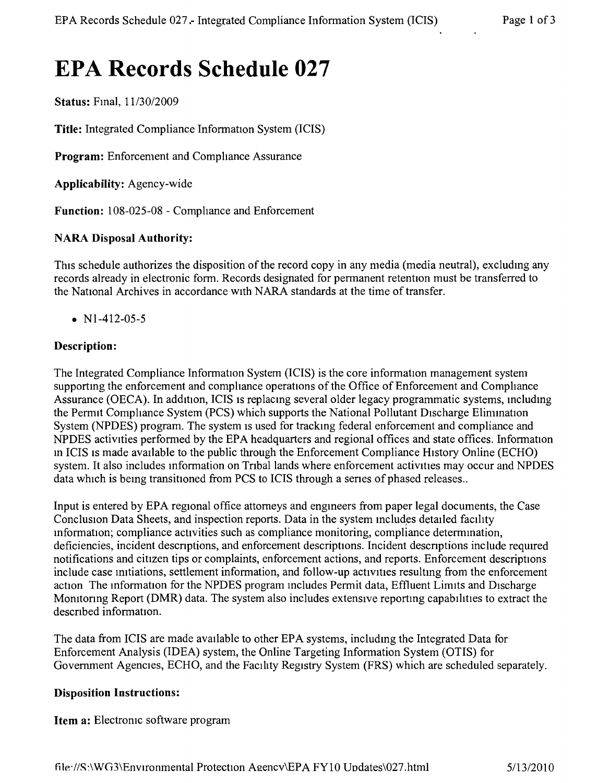# **EPA Records Schedule 027**

**Status:** Final,  $11/30/2009$ 

**Title:** Integrated Compliance Information System (lCIS)

**Program:** Enforcement and Compliance Assurance

**Applicability:** Agency-wide

Function: 108-025-08 - Compliance and Enforcement

### **NARA Disposal Authority:**

This schedule authorizes the disposition of the record copy in any media (media neutral), excluding any records already in electronic form. Records designated for permanent retention must be transferred to the National Archives in accordance with NARA standards at the time of transfer.

• N<sub>1</sub>-412-05-5

### **Description:**

The Integrated Compliance Information System (lCIS) is the core information management system supportmg the enforcement and compliance operations of the Office of Enforcement and Compliance Assurance (OECA). In addition, ICIS is replacing several older legacy programmatic systems, including the Permit Compliance System (PCS) which supports the National Pollutant DIscharge Elimination System (NPDES) program. The system is used for tracking federal enforcement and compliance and NPDES activities performed by the EPA headquarters and regional offices and state offices. Information in ICIS is made available to the public through the Enforcement Compliance History Online (ECHO) system. It also includes information on Tribal lands where enforcement activities may occur and NPDES data which is being transitioned from PCS to ICIS through a series of phased releases..

Input is entered by EPA regional office attomeys and engmeers from paper legal documents, the Case Conclusion Data Sheets, and inspection reports. Data in the system includes detailed facility information; compliance activities such as compliance monitoring, compliance determmation, deficiencies, incident descnptions, and enforcement descriptions. Incident descnptions include required notifications and citizen tips or complaints, enforcement actions, and reports. Enforcement descriptions include case mitiations, settlement information, and follow-up actrvities resultmg from the enforcement action The information for the NPDES program includes Permit data, Effluent Limits and Discharge Monitoring Report (DMR) data. The system also includes extensive reporting capabilities to extract the descnbed information.

The data from ICIS are made available to other EPA systems, includmg the Integrated Data for Enforcement Analysis (IDEA) system, the Online Targeting Information System (OTIS) for Government Agencies, ECHO, and the Facility Registry System (FRS) which are scheduled separately.

#### **Disposition Instructions:**

**Item a:** Electronic software program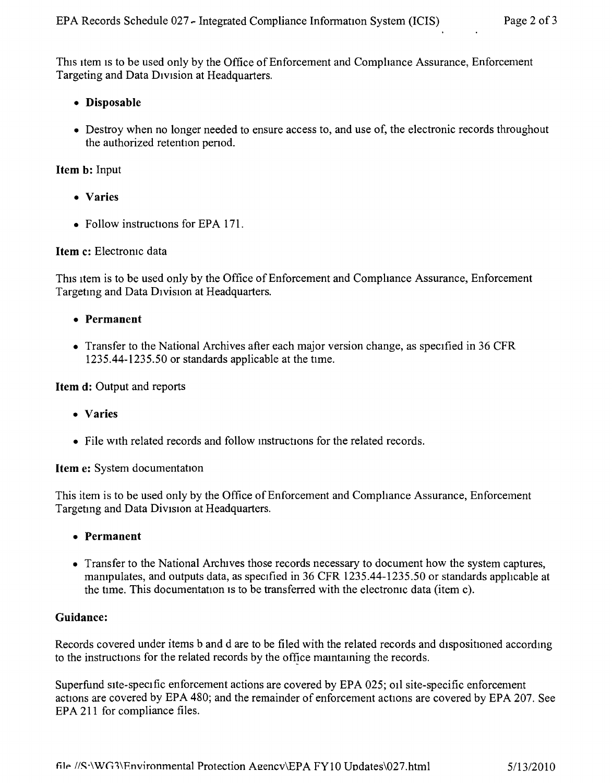This item is to be used only by the Office of Enforcement and Compliance Assurance, Enforcement Targeting and Data DIVision at Headquarters.

- Disposable
- Destroy when no longer needed to ensure access to, and use of, the electronic records throughout the authorized retention penod.

# Item b: Input

- Varies
- Follow instructions for EPA 171.

# Item c: Electromc data

This item is to be used only by the Office of Enforcement and Compliance Assurance, Enforcement Targeting and Data Division at Headquarters.

- Permanent
- Transfer to the National Archives after each major version change, as specified in 36 CFR 1235.44-1235.50 or standards applicable at the time,

## Item d: Output and reports

- Varies
- File with related records and follow instructions for the related records.

Item e: System documentation

This item is to be used only by the Office of Enforcement and Comphance Assurance, Enforcement Targetmg and Data Division at Headquarters.

- Permanent
- Transfer to the National Archives those records necessary to document how the system captures, mampulates, and outputs data, as specified in 36 CFR 1235.44-1235.50 or standards apphcable at the time. This documentation is to be transferred with the electronic data (item c).

# Guidance:

Records covered under items b and d are to be filed with the related records and dispositioned according to the instructions for the related records by the office mamtaming the records.

Superfund site-specific enforcement actions are covered by EPA 025; 011 site-specific enforcement actions are covered by EPA 480; and the remainder of enforcement actions are covered by EPA 207. See EPA 211 for compliance files.